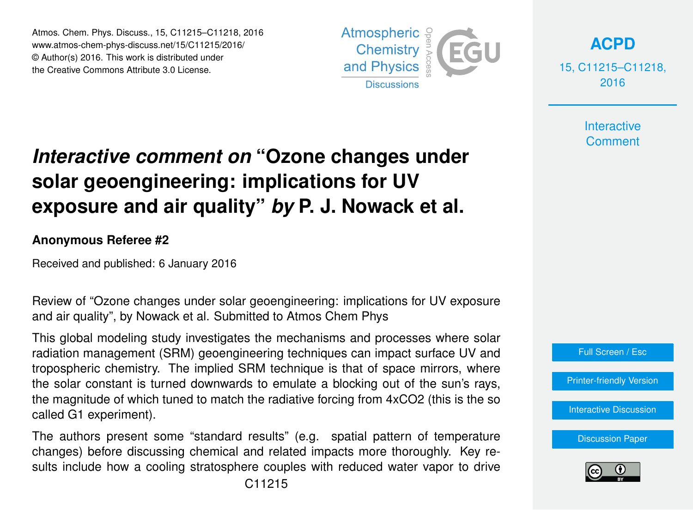Atmos. Chem. Phys. Discuss., 15, C11215–C11218, 2016 www.atmos-chem-phys-discuss.net/15/C11215/2016/ © Author(s) 2016. This work is distributed under the Creative Commons Attribute 3.0 License.



**[ACPD](http://www.atmos-chem-phys-discuss.net)**

15, C11215–C11218, 2016

> **Interactive Comment**

## *Interactive comment on* **"Ozone changes under solar geoengineering: implications for UV exposure and air quality"** *by* **P. J. Nowack et al.**

## **Anonymous Referee #2**

Received and published: 6 January 2016

Review of "Ozone changes under solar geoengineering: implications for UV exposure and air quality", by Nowack et al. Submitted to Atmos Chem Phys

This global modeling study investigates the mechanisms and processes where solar radiation management (SRM) geoengineering techniques can impact surface UV and tropospheric chemistry. The implied SRM technique is that of space mirrors, where the solar constant is turned downwards to emulate a blocking out of the sun's rays, the magnitude of which tuned to match the radiative forcing from 4xCO2 (this is the so called G1 experiment).

The authors present some "standard results" (e.g. spatial pattern of temperature changes) before discussing chemical and related impacts more thoroughly. Key results include how a cooling stratosphere couples with reduced water vapor to drive



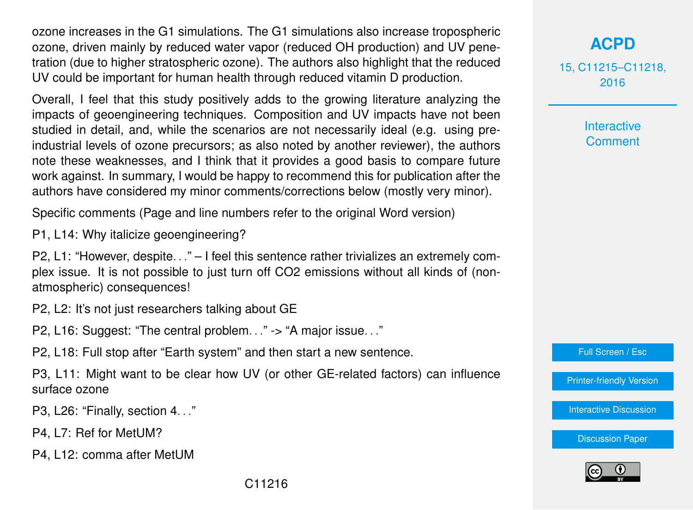ozone increases in the G1 simulations. The G1 simulations also increase tropospheric ozone, driven mainly by reduced water vapor (reduced OH production) and UV penetration (due to higher stratospheric ozone). The authors also highlight that the reduced UV could be important for human health through reduced vitamin D production.

Overall, I feel that this study positively adds to the growing literature analyzing the impacts of geoengineering techniques. Composition and UV impacts have not been studied in detail, and, while the scenarios are not necessarily ideal (e.g. using preindustrial levels of ozone precursors; as also noted by another reviewer), the authors note these weaknesses, and I think that it provides a good basis to compare future work against. In summary, I would be happy to recommend this for publication after the authors have considered my minor comments/corrections below (mostly very minor).

Specific comments (Page and line numbers refer to the original Word version)

P1, L14: Why italicize geoengineering?

P2, L1: "However, despite. . ." – I feel this sentence rather trivializes an extremely complex issue. It is not possible to just turn off CO2 emissions without all kinds of (nonatmospheric) consequences!

P2, L2: It's not just researchers talking about GE

P2. L16: Suggest: "The central problem..." -> "A major issue..."

P2, L18: Full stop after "Earth system" and then start a new sentence.

P3, L11: Might want to be clear how UV (or other GE-related factors) can influence surface ozone

P3, L26: "Finally, section 4. . ."

P4, L7: Ref for MetUM?

P4, L12: comma after MetUM

15, C11215–C11218, 2016

> Interactive **Comment**

Full Screen / Esc

[Printer-friendly Version](http://www.atmos-chem-phys-discuss.net/15/C11215/2016/acpd-15-C11215-2016-print.pdf)

[Interactive Discussion](http://www.atmos-chem-phys-discuss.net/15/31973/2015/acpd-15-31973-2015-discussion.html)

[Discussion Paper](http://www.atmos-chem-phys-discuss.net/15/31973/2015/acpd-15-31973-2015.pdf)

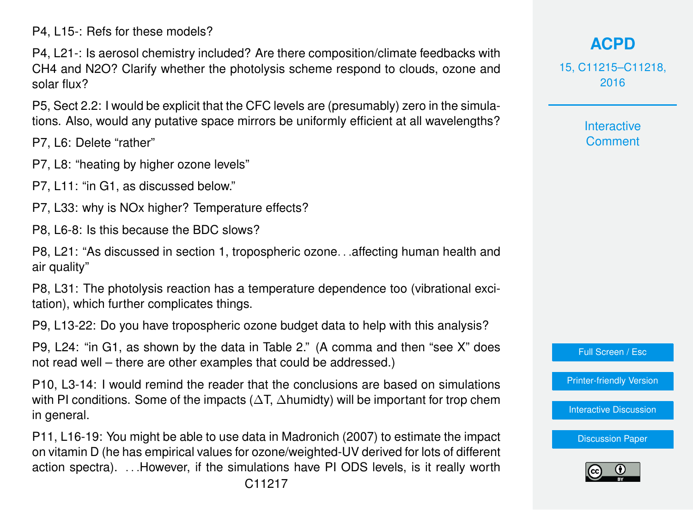P4, L15-: Refs for these models?

P4, L21-: Is aerosol chemistry included? Are there composition/climate feedbacks with CH4 and N2O? Clarify whether the photolysis scheme respond to clouds, ozone and solar flux?

P5, Sect 2.2: I would be explicit that the CFC levels are (presumably) zero in the simulations. Also, would any putative space mirrors be uniformly efficient at all wavelengths?

P7, L6: Delete "rather"

- P7, L8: "heating by higher ozone levels"
- P7, L11: "in G1, as discussed below."
- P7, L33: why is NOx higher? Temperature effects?
- P8, L6-8: Is this because the BDC slows?

P8, L21: "As discussed in section 1, tropospheric ozone. . .affecting human health and air quality"

P8, L31: The photolysis reaction has a temperature dependence too (vibrational excitation), which further complicates things.

P9, L13-22: Do you have tropospheric ozone budget data to help with this analysis?

P9, L24: "in G1, as shown by the data in Table 2." (A comma and then "see X" does not read well – there are other examples that could be addressed.)

P10, L3-14: I would remind the reader that the conclusions are based on simulations with PI conditions. Some of the impacts ( $\Delta T$ ,  $\Delta$ humidty) will be important for trop chem in general.

P11, L16-19: You might be able to use data in Madronich (2007) to estimate the impact on vitamin D (he has empirical values for ozone/weighted-UV derived for lots of different action spectra). . . .However, if the simulations have PI ODS levels, is it really worth

C11217

## **[ACPD](http://www.atmos-chem-phys-discuss.net)**

15, C11215–C11218, 2016

> **Interactive Comment**

Full Screen / Esc

[Printer-friendly Version](http://www.atmos-chem-phys-discuss.net/15/C11215/2016/acpd-15-C11215-2016-print.pdf)

[Interactive Discussion](http://www.atmos-chem-phys-discuss.net/15/31973/2015/acpd-15-31973-2015-discussion.html)

[Discussion Paper](http://www.atmos-chem-phys-discuss.net/15/31973/2015/acpd-15-31973-2015.pdf)